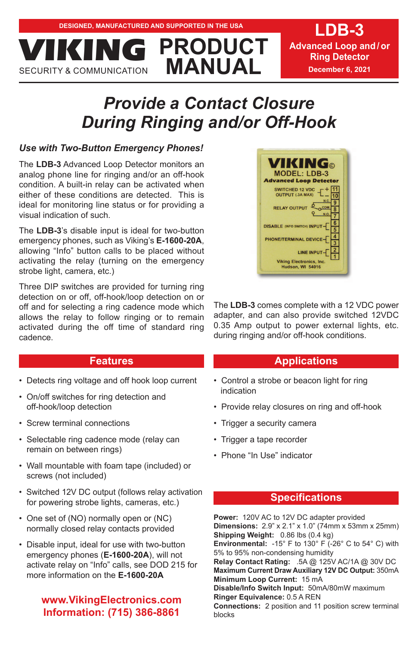**Advanced Loop and / or Ring Detector December 6, 2021**

# *Provide a Contact Closure During Ringing and/or Off-Hook*

**PRODUCT** 

# *Use with Two-Button Emergency Phones!*

**MANUAL PROPERTY & COMMUNICATION** 

The **LDB-3** Advanced Loop Detector monitors an analog phone line for ringing and/or an off-hook condition. A built-in relay can be activated when either of these conditions are detected. This is ideal for monitoring line status or for providing a visual indication of such.

The **LDB-3**'s disable input is ideal for two-button emergency phones, such as Viking's **E-1600-20A**, allowing "Info" button calls to be placed without activating the relay (turning on the emergency strobe light, camera, etc.)

Three DIP switches are provided for turning ring detection on or off, off-hook/loop detection on or off and for selecting a ring cadence mode which allows the relay to follow ringing or to remain activated during the off time of standard ring cadence.

# **Features**

- Detects ring voltage and off hook loop current
- On/off switches for ring detection and off-hook/loop detection
- Screw terminal connections
- Selectable ring cadence mode (relay can remain on between rings)
- Wall mountable with foam tape (included) or screws (not included)
- Switched 12V DC output (follows relay activation for powering strobe lights, cameras, etc.)
- One set of (NO) normally open or (NC) normally closed relay contacts provided
- Disable input, ideal for use with two-button emergency phones (**E-1600-20A**), will not activate relay on "Info" calls, see DOD 215 for more information on the **E-1600-20A**

# **www.VikingElectronics.com Information: (715) 386-8861**

**MODEL: LDB-3 Advanced Loop Detector** SWITCHED 12 VDC<br>OUTPUT (.3A MAX) 10  $\overline{9}$ RELAY OUTPUT OCOM  $\overline{8}$  $6$ **DISABLE (INFO SWITCH) INPUT**  $\overline{5}$  $\overline{4}$ PHONE/TERMINAL DEVICE LINE INPUT **Viking Electronics, Inc.** dson, WI 54016

The **LDB-3** comes complete with a 12 VDC power adapter, and can also provide switched 12VDC 0.35 Amp output to power external lights, etc. during ringing and/or off-hook conditions.

# **Applications**

- Control a strobe or beacon light for ring indication
- Provide relay closures on ring and off-hook
- Trigger a security camera
- Trigger a tape recorder
- Phone "In Use" indicator

# **Specifications**

**Power:** 120V AC to 12V DC adapter provided **Dimensions:** 2.9" x 2.1" x 1.0" (74mm x 53mm x 25mm) **Shipping Weight:** 0.86 lbs (0.4 kg)

**Environmental:** -15° F to 130° F (-26° C to 54° C) with 5% to 95% non-condensing humidity

**Relay Contact Rating:** .5A @ 125V AC/1A @ 30V DC **Maximum Current Draw Auxiliary 12V DC Output:** 350mA **Minimum Loop Current:** 15 mA

**Disable/Info Switch Input:** 50mA/80mW maximum **Ringer Equivalence:** 0.5 A REN

**Connections:** 2 position and 11 position screw terminal blocks



**LDB-3**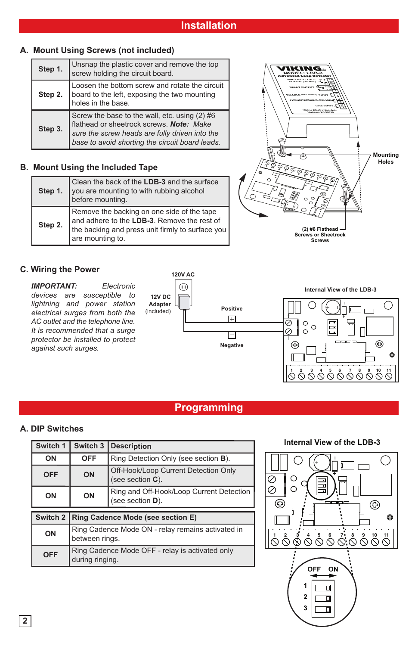# **A. Mount Using Screws (not included)**

| Step 1. | Unsnap the plastic cover and remove the top<br>screw holding the circuit board.                                                                                                                |  |
|---------|------------------------------------------------------------------------------------------------------------------------------------------------------------------------------------------------|--|
| Step 2. | Loosen the bottom screw and rotate the circuit<br>board to the left, exposing the two mounting<br>holes in the base.                                                                           |  |
| Step 3. | Screw the base to the wall, etc. using (2) #6<br>flathead or sheetrock screws. Note: Make<br>sure the screw heads are fully driven into the<br>base to avoid shorting the circuit board leads. |  |

## **B. Mount Using the Included Tape**

| Step 1. | Clean the back of the LDB-3 and the surface<br>you are mounting to with rubbing alcohol<br>before mounting.                                                       |
|---------|-------------------------------------------------------------------------------------------------------------------------------------------------------------------|
| Step 2. | Remove the backing on one side of the tape<br>and adhere to the LDB-3. Remove the rest of<br>the backing and press unit firmly to surface you<br>are mounting to. |



## **C. Wiring the Power**

*IMPORTANT: Electronic devices are susceptible to lightning and power station electrical surges from both the AC outlet and the telephone line. It is recommended that a surge protector be installed to protect against such surges.* 



**1 2 3 4 5 6 7 8 9 10 11** Z2Z3 R8 R9 R7 R4 **Internal View of the LDB-3**

# **Programming**

# **A. DIP Switches**

| Switch 1            | Switch 3                                                            | <b>Description</b>                                           |  |  |
|---------------------|---------------------------------------------------------------------|--------------------------------------------------------------|--|--|
| ON                  | <b>OFF</b>                                                          | Ring Detection Only (see section B).                         |  |  |
| <b>OFF</b>          | ON                                                                  | Off-Hook/Loop Current Detection Only<br>(see section $C$ ).  |  |  |
| ON                  | ON                                                                  | Ring and Off-Hook/Loop Current Detection<br>(see section D). |  |  |
|                     |                                                                     |                                                              |  |  |
| Switch <sub>2</sub> | Ring Cadence Mode (see section E)                                   |                                                              |  |  |
| ON                  | Ring Cadence Mode ON - relay remains activated in<br>between rings. |                                                              |  |  |
| <b>OFF</b>          | Ring Cadence Mode OFF - relay is activated only<br>during ringing.  |                                                              |  |  |

#### **Internal View of the LDB-3**

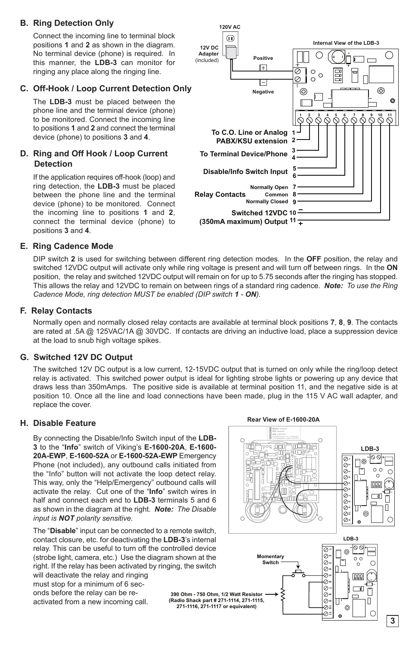## **B. Ring Detection Only**

Connect the incoming line to terminal block positions **1** and **2** as shown in the diagram. No terminal device (phone) is required. In this manner, the **LDB-3** can monitor for ringing any place along the ringing line.

## **C. Off-Hook / Loop Current Detection Only**

The **LDB-3** must be placed between the phone line and the terminal device (phone) to be monitored. Connect the incoming line to positions **1** and **2** and connect the terminal device (phone) to positions **3** and **4**.

#### **D. Ring and Off Hook / Loop Current Detection**

If the application requires off-hook (loop) and ring detection, the **LDB-3** must be placed between the phone line and the terminal device (phone) to be monitored. Connect the incoming line to positions **1** and **2**, connect the terminal device (phone) to positions **3** and **4**.



#### **E. Ring Cadence Mode**

DIP switch **2** is used for switching between different ring detection modes. In the **OFF** position, the relay and switched 12VDC output will activate only while ring voltage is present and will turn off between rings. In the **ON** position, the relay and switched 12VDC output will remain on for up to 5.75 seconds after the ringing has stopped. This allows the relay and 12VDC to remain on between rings of a standard ring cadence. *Note: To use the Ring Cadence Mode, ring detection MUST be enabled (DIP switch 1 - ON).*

#### **F. Relay Contacts**

Normally open and normally closed relay contacts are available at terminal block positions **7**, **8**, **9**. The contacts are rated at .5A @ 125VAC/1A @ 30VDC. If contacts are driving an inductive load, place a suppression device at the load to snub high voltage spikes.

#### **G. Switched 12V DC Output**

The switched 12V DC output is a low current, 12-15VDC output that is turned on only while the ring/loop detect relay is activated. This switched power output is ideal for lighting strobe lights or powering up any device that draws less than 350mAmps. The positive side is available at terminal position 11, and the negative side is at position 10. Once all the line and load connections have been made, plug in the 115 V AC wall adapter, and replace the cover.

#### **H. Disable Feature**

By connecting the Disable/Info Switch input of the **LDB-3** to the "**Info**" switch of Viking's **E-1600-20A**, **E-1600- 20A-EWP**, **E-1600-52A** or **E-1600-52A-EWP** Emergency Phone (not included), any outbound calls initiated from the "Info" button will not activate the loop detect relay. This way, only the "Help/Emergency" outbound calls will activate the relay. Cut one of the "**Info**" switch wires in half and connect each end to **LDB-3** terminals 5 and 6 as shown in the diagram at the right. *Note: The Disable input is NOT polarity sensitive.* 

The "**Disable**" input can be connected to a remote switch, contact closure, etc. for deactivating the **LDB-3**'s internal relay. This can be useful to turn off the controlled device (strobe light, camera, etc.) Use the diagram shown at the right. If the relay has been activated by ringing, the switch

will deactivate the relay and ringing must stop for a minimum of 6 seconds before the relay can be reactivated from a new incoming call.